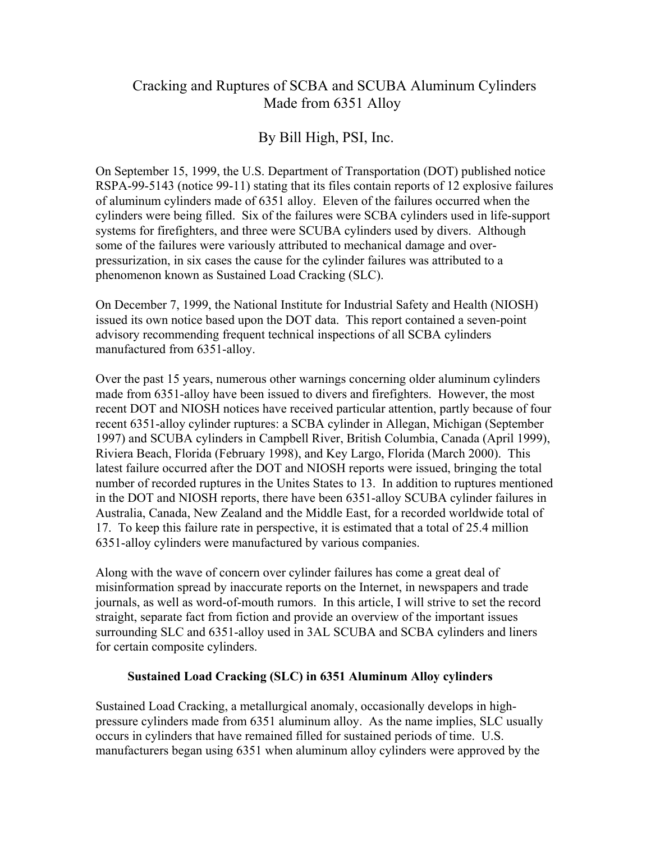# Cracking and Ruptures of SCBA and SCUBA Aluminum Cylinders Made from 6351 Alloy

# By Bill High, PSI, Inc.

On September 15, 1999, the U.S. Department of Transportation (DOT) published notice RSPA-99-5143 (notice 99-11) stating that its files contain reports of 12 explosive failures of aluminum cylinders made of 6351 alloy. Eleven of the failures occurred when the cylinders were being filled. Six of the failures were SCBA cylinders used in life-support systems for firefighters, and three were SCUBA cylinders used by divers. Although some of the failures were variously attributed to mechanical damage and overpressurization, in six cases the cause for the cylinder failures was attributed to a phenomenon known as Sustained Load Cracking (SLC).

On December 7, 1999, the National Institute for Industrial Safety and Health (NIOSH) issued its own notice based upon the DOT data. This report contained a seven-point advisory recommending frequent technical inspections of all SCBA cylinders manufactured from 6351-alloy.

Over the past 15 years, numerous other warnings concerning older aluminum cylinders made from 6351-alloy have been issued to divers and firefighters. However, the most recent DOT and NIOSH notices have received particular attention, partly because of four recent 6351-alloy cylinder ruptures: a SCBA cylinder in Allegan, Michigan (September 1997) and SCUBA cylinders in Campbell River, British Columbia, Canada (April 1999), Riviera Beach, Florida (February 1998), and Key Largo, Florida (March 2000). This latest failure occurred after the DOT and NIOSH reports were issued, bringing the total number of recorded ruptures in the Unites States to 13. In addition to ruptures mentioned in the DOT and NIOSH reports, there have been 6351-alloy SCUBA cylinder failures in Australia, Canada, New Zealand and the Middle East, for a recorded worldwide total of 17. To keep this failure rate in perspective, it is estimated that a total of 25.4 million 6351-alloy cylinders were manufactured by various companies.

Along with the wave of concern over cylinder failures has come a great deal of misinformation spread by inaccurate reports on the Internet, in newspapers and trade journals, as well as word-of-mouth rumors. In this article, I will strive to set the record straight, separate fact from fiction and provide an overview of the important issues surrounding SLC and 6351-alloy used in 3AL SCUBA and SCBA cylinders and liners for certain composite cylinders.

### **Sustained Load Cracking (SLC) in 6351 Aluminum Alloy cylinders**

Sustained Load Cracking, a metallurgical anomaly, occasionally develops in highpressure cylinders made from 6351 aluminum alloy. As the name implies, SLC usually occurs in cylinders that have remained filled for sustained periods of time. U.S. manufacturers began using 6351 when aluminum alloy cylinders were approved by the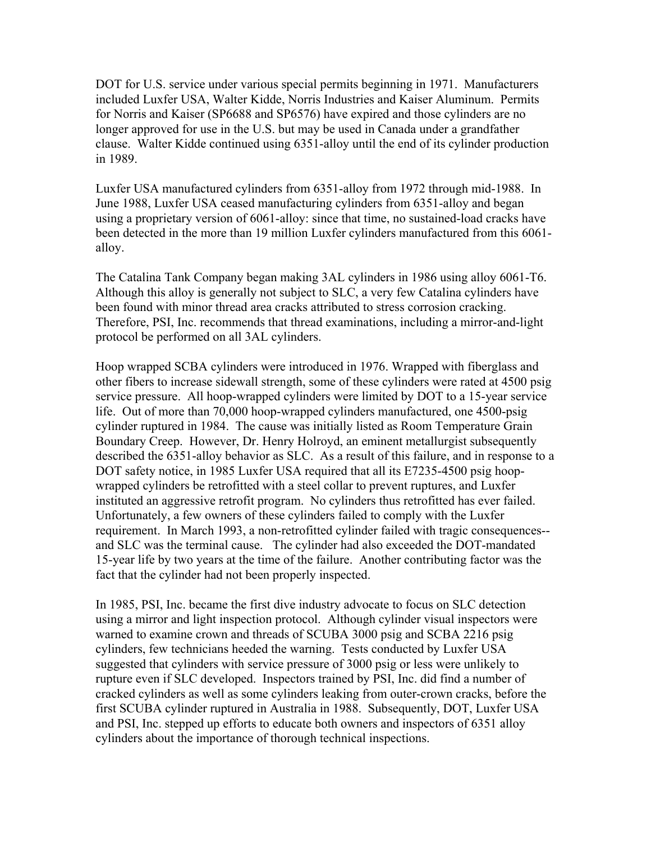DOT for U.S. service under various special permits beginning in 1971. Manufacturers included Luxfer USA, Walter Kidde, Norris Industries and Kaiser Aluminum. Permits for Norris and Kaiser (SP6688 and SP6576) have expired and those cylinders are no longer approved for use in the U.S. but may be used in Canada under a grandfather clause. Walter Kidde continued using 6351-alloy until the end of its cylinder production in 1989.

Luxfer USA manufactured cylinders from 6351-alloy from 1972 through mid-1988. In June 1988, Luxfer USA ceased manufacturing cylinders from 6351-alloy and began using a proprietary version of 6061-alloy: since that time, no sustained-load cracks have been detected in the more than 19 million Luxfer cylinders manufactured from this 6061 alloy.

The Catalina Tank Company began making 3AL cylinders in 1986 using alloy 6061-T6. Although this alloy is generally not subject to SLC, a very few Catalina cylinders have been found with minor thread area cracks attributed to stress corrosion cracking. Therefore, PSI, Inc. recommends that thread examinations, including a mirror-and-light protocol be performed on all 3AL cylinders.

Hoop wrapped SCBA cylinders were introduced in 1976. Wrapped with fiberglass and other fibers to increase sidewall strength, some of these cylinders were rated at 4500 psig service pressure. All hoop-wrapped cylinders were limited by DOT to a 15-year service life. Out of more than 70,000 hoop-wrapped cylinders manufactured, one 4500-psig cylinder ruptured in 1984. The cause was initially listed as Room Temperature Grain Boundary Creep. However, Dr. Henry Holroyd, an eminent metallurgist subsequently described the 6351-alloy behavior as SLC. As a result of this failure, and in response to a DOT safety notice, in 1985 Luxfer USA required that all its E7235-4500 psig hoopwrapped cylinders be retrofitted with a steel collar to prevent ruptures, and Luxfer instituted an aggressive retrofit program. No cylinders thus retrofitted has ever failed. Unfortunately, a few owners of these cylinders failed to comply with the Luxfer requirement. In March 1993, a non-retrofitted cylinder failed with tragic consequences- and SLC was the terminal cause. The cylinder had also exceeded the DOT-mandated 15-year life by two years at the time of the failure. Another contributing factor was the fact that the cylinder had not been properly inspected.

In 1985, PSI, Inc. became the first dive industry advocate to focus on SLC detection using a mirror and light inspection protocol. Although cylinder visual inspectors were warned to examine crown and threads of SCUBA 3000 psig and SCBA 2216 psig cylinders, few technicians heeded the warning. Tests conducted by Luxfer USA suggested that cylinders with service pressure of 3000 psig or less were unlikely to rupture even if SLC developed. Inspectors trained by PSI, Inc. did find a number of cracked cylinders as well as some cylinders leaking from outer-crown cracks, before the first SCUBA cylinder ruptured in Australia in 1988. Subsequently, DOT, Luxfer USA and PSI, Inc. stepped up efforts to educate both owners and inspectors of 6351 alloy cylinders about the importance of thorough technical inspections.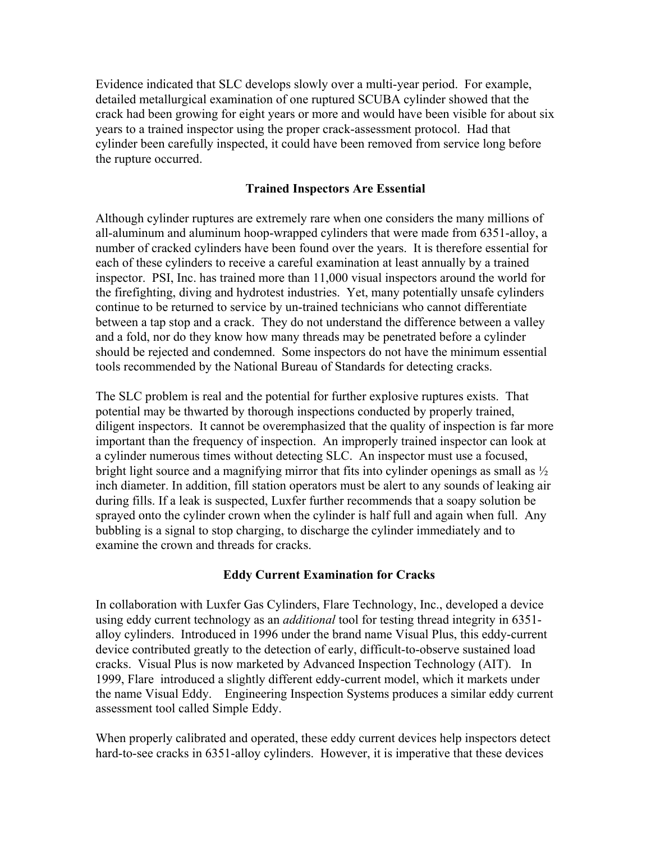Evidence indicated that SLC develops slowly over a multi-year period. For example, detailed metallurgical examination of one ruptured SCUBA cylinder showed that the crack had been growing for eight years or more and would have been visible for about six years to a trained inspector using the proper crack-assessment protocol. Had that cylinder been carefully inspected, it could have been removed from service long before the rupture occurred.

#### **Trained Inspectors Are Essential**

Although cylinder ruptures are extremely rare when one considers the many millions of all-aluminum and aluminum hoop-wrapped cylinders that were made from 6351-alloy, a number of cracked cylinders have been found over the years. It is therefore essential for each of these cylinders to receive a careful examination at least annually by a trained inspector. PSI, Inc. has trained more than 11,000 visual inspectors around the world for the firefighting, diving and hydrotest industries. Yet, many potentially unsafe cylinders continue to be returned to service by un-trained technicians who cannot differentiate between a tap stop and a crack. They do not understand the difference between a valley and a fold, nor do they know how many threads may be penetrated before a cylinder should be rejected and condemned. Some inspectors do not have the minimum essential tools recommended by the National Bureau of Standards for detecting cracks.

The SLC problem is real and the potential for further explosive ruptures exists. That potential may be thwarted by thorough inspections conducted by properly trained, diligent inspectors. It cannot be overemphasized that the quality of inspection is far more important than the frequency of inspection. An improperly trained inspector can look at a cylinder numerous times without detecting SLC. An inspector must use a focused, bright light source and a magnifying mirror that fits into cylinder openings as small as ½ inch diameter. In addition, fill station operators must be alert to any sounds of leaking air during fills. If a leak is suspected, Luxfer further recommends that a soapy solution be sprayed onto the cylinder crown when the cylinder is half full and again when full. Any bubbling is a signal to stop charging, to discharge the cylinder immediately and to examine the crown and threads for cracks.

#### **Eddy Current Examination for Cracks**

In collaboration with Luxfer Gas Cylinders, Flare Technology, Inc., developed a device using eddy current technology as an *additional* tool for testing thread integrity in 6351 alloy cylinders. Introduced in 1996 under the brand name Visual Plus, this eddy-current device contributed greatly to the detection of early, difficult-to-observe sustained load cracks. Visual Plus is now marketed by Advanced Inspection Technology (AIT). In 1999, Flare introduced a slightly different eddy-current model, which it markets under the name Visual Eddy. Engineering Inspection Systems produces a similar eddy current assessment tool called Simple Eddy.

When properly calibrated and operated, these eddy current devices help inspectors detect hard-to-see cracks in 6351-alloy cylinders. However, it is imperative that these devices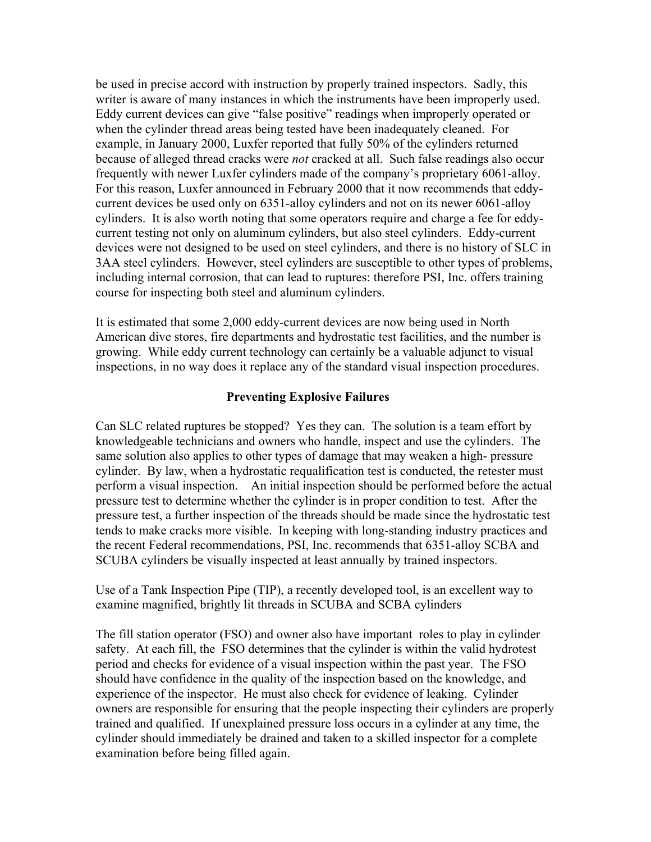be used in precise accord with instruction by properly trained inspectors. Sadly, this writer is aware of many instances in which the instruments have been improperly used. Eddy current devices can give "false positive" readings when improperly operated or when the cylinder thread areas being tested have been inadequately cleaned. For example, in January 2000, Luxfer reported that fully 50% of the cylinders returned because of alleged thread cracks were *not* cracked at all. Such false readings also occur frequently with newer Luxfer cylinders made of the company's proprietary 6061-alloy. For this reason, Luxfer announced in February 2000 that it now recommends that eddycurrent devices be used only on 6351-alloy cylinders and not on its newer 6061-alloy cylinders. It is also worth noting that some operators require and charge a fee for eddycurrent testing not only on aluminum cylinders, but also steel cylinders. Eddy-current devices were not designed to be used on steel cylinders, and there is no history of SLC in 3AA steel cylinders. However, steel cylinders are susceptible to other types of problems, including internal corrosion, that can lead to ruptures: therefore PSI, Inc. offers training course for inspecting both steel and aluminum cylinders.

It is estimated that some 2,000 eddy-current devices are now being used in North American dive stores, fire departments and hydrostatic test facilities, and the number is growing. While eddy current technology can certainly be a valuable adjunct to visual inspections, in no way does it replace any of the standard visual inspection procedures.

### **Preventing Explosive Failures**

Can SLC related ruptures be stopped? Yes they can. The solution is a team effort by knowledgeable technicians and owners who handle, inspect and use the cylinders. The same solution also applies to other types of damage that may weaken a high- pressure cylinder. By law, when a hydrostatic requalification test is conducted, the retester must perform a visual inspection. An initial inspection should be performed before the actual pressure test to determine whether the cylinder is in proper condition to test. After the pressure test, a further inspection of the threads should be made since the hydrostatic test tends to make cracks more visible. In keeping with long-standing industry practices and the recent Federal recommendations, PSI, Inc. recommends that 6351-alloy SCBA and SCUBA cylinders be visually inspected at least annually by trained inspectors.

Use of a Tank Inspection Pipe (TIP), a recently developed tool, is an excellent way to examine magnified, brightly lit threads in SCUBA and SCBA cylinders

The fill station operator (FSO) and owner also have important roles to play in cylinder safety. At each fill, the FSO determines that the cylinder is within the valid hydrotest period and checks for evidence of a visual inspection within the past year. The FSO should have confidence in the quality of the inspection based on the knowledge, and experience of the inspector. He must also check for evidence of leaking. Cylinder owners are responsible for ensuring that the people inspecting their cylinders are properly trained and qualified. If unexplained pressure loss occurs in a cylinder at any time, the cylinder should immediately be drained and taken to a skilled inspector for a complete examination before being filled again.